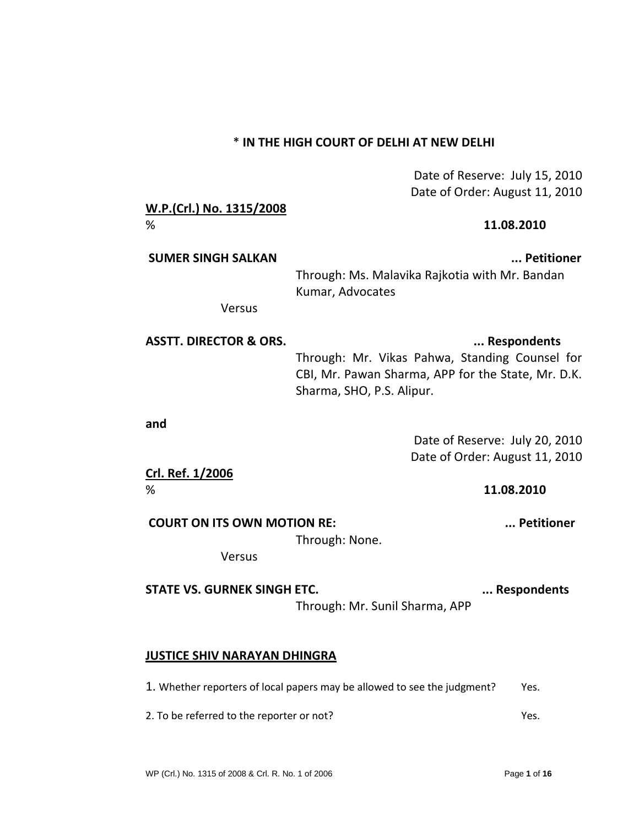## \* **IN THE HIGH COURT OF DELHI AT NEW DELHI**

Date of Reserve: July 15, 2010 Date of Order: August 11, 2010

| <b>COURT ON ITS OWN MOTION RE:</b> | Petitioner                                                                                                                                       |
|------------------------------------|--------------------------------------------------------------------------------------------------------------------------------------------------|
| %                                  | 11.08.2010                                                                                                                                       |
| Crl. Ref. 1/2006                   | Date of Order: August 11, 2010                                                                                                                   |
| and                                | Date of Reserve: July 20, 2010                                                                                                                   |
| <b>ASSTT. DIRECTOR &amp; ORS.</b>  | Respondents<br>Through: Mr. Vikas Pahwa, Standing Counsel for<br>CBI, Mr. Pawan Sharma, APP for the State, Mr. D.K.<br>Sharma, SHO, P.S. Alipur. |
| Versus                             |                                                                                                                                                  |
| <b>SUMER SINGH SALKAN</b>          | Petitioner<br>Through: Ms. Malavika Rajkotia with Mr. Bandan<br>Kumar, Advocates                                                                 |
| W.P.(Crl.) No. 1315/2008<br>%      | 11.08.2010                                                                                                                                       |

Through: None.

Versus

STATE VS. GURNEK SINGH ETC. **A CONSERVER 20 IN A CONSERVANCE STATE VS.** GURNEK SINGH ETC.

Through: Mr. Sunil Sharma, APP

## **JUSTICE SHIV NARAYAN DHINGRA**

1. Whether reporters of local papers may be allowed to see the judgment? Yes.

2. To be referred to the reporter or not? The rest of the rest of the rest of the rest of the rest of the rest of the rest of the rest of the rest of the rest of the rest of the rest of the rest of the rest of the rest of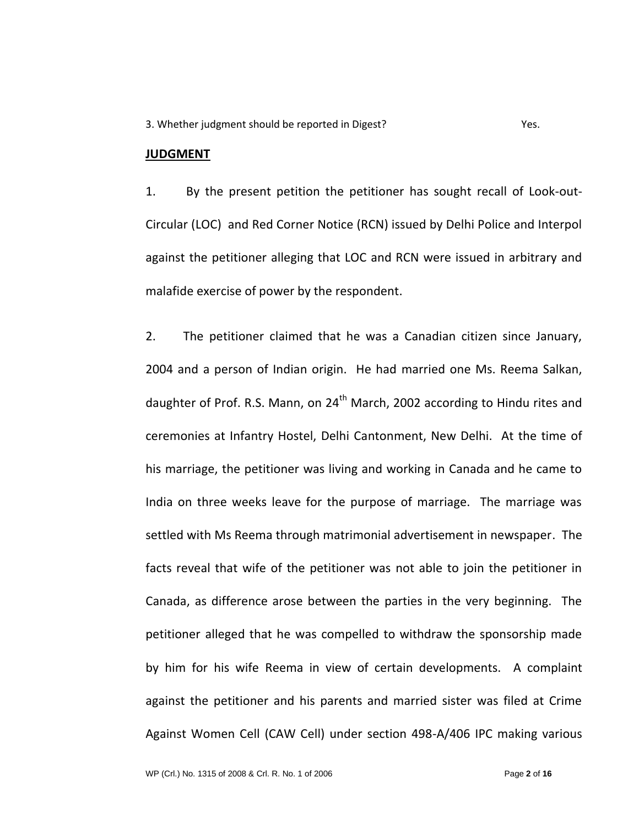3. Whether judgment should be reported in Digest? Yes.

## **JUDGMENT**

1. By the present petition the petitioner has sought recall of Look-out-Circular (LOC) and Red Corner Notice (RCN) issued by Delhi Police and Interpol against the petitioner alleging that LOC and RCN were issued in arbitrary and malafide exercise of power by the respondent.

2. The petitioner claimed that he was a Canadian citizen since January, 2004 and a person of Indian origin. He had married one Ms. Reema Salkan, daughter of Prof. R.S. Mann, on  $24<sup>th</sup>$  March, 2002 according to Hindu rites and ceremonies at Infantry Hostel, Delhi Cantonment, New Delhi. At the time of his marriage, the petitioner was living and working in Canada and he came to India on three weeks leave for the purpose of marriage. The marriage was settled with Ms Reema through matrimonial advertisement in newspaper. The facts reveal that wife of the petitioner was not able to join the petitioner in Canada, as difference arose between the parties in the very beginning. The petitioner alleged that he was compelled to withdraw the sponsorship made by him for his wife Reema in view of certain developments. A complaint against the petitioner and his parents and married sister was filed at Crime Against Women Cell (CAW Cell) under section 498-A/406 IPC making various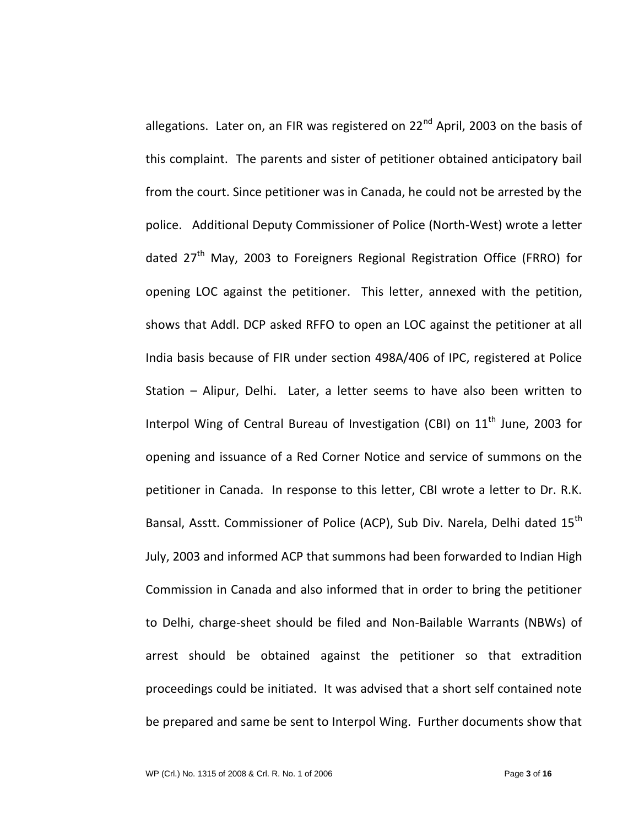allegations. Later on, an FIR was registered on  $22^{nd}$  April, 2003 on the basis of this complaint. The parents and sister of petitioner obtained anticipatory bail from the court. Since petitioner was in Canada, he could not be arrested by the police. Additional Deputy Commissioner of Police (North-West) wrote a letter dated 27<sup>th</sup> May, 2003 to Foreigners Regional Registration Office (FRRO) for opening LOC against the petitioner. This letter, annexed with the petition, shows that Addl. DCP asked RFFO to open an LOC against the petitioner at all India basis because of FIR under section 498A/406 of IPC, registered at Police Station – Alipur, Delhi. Later, a letter seems to have also been written to Interpol Wing of Central Bureau of Investigation (CBI) on 11<sup>th</sup> June, 2003 for opening and issuance of a Red Corner Notice and service of summons on the petitioner in Canada. In response to this letter, CBI wrote a letter to Dr. R.K. Bansal, Asstt. Commissioner of Police (ACP), Sub Div. Narela, Delhi dated 15<sup>th</sup> July, 2003 and informed ACP that summons had been forwarded to Indian High Commission in Canada and also informed that in order to bring the petitioner to Delhi, charge-sheet should be filed and Non-Bailable Warrants (NBWs) of arrest should be obtained against the petitioner so that extradition proceedings could be initiated. It was advised that a short self contained note be prepared and same be sent to Interpol Wing. Further documents show that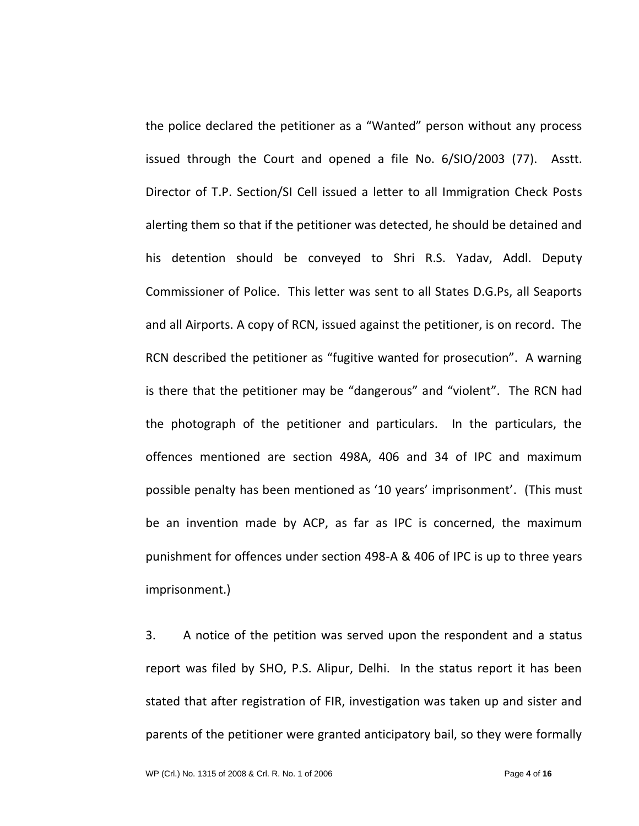the police declared the petitioner as a "Wanted" person without any process issued through the Court and opened a file No. 6/SIO/2003 (77). Asstt. Director of T.P. Section/SI Cell issued a letter to all Immigration Check Posts alerting them so that if the petitioner was detected, he should be detained and his detention should be conveyed to Shri R.S. Yadav, Addl. Deputy Commissioner of Police. This letter was sent to all States D.G.Ps, all Seaports and all Airports. A copy of RCN, issued against the petitioner, is on record. The RCN described the petitioner as "fugitive wanted for prosecution". A warning is there that the petitioner may be "dangerous" and "violent". The RCN had the photograph of the petitioner and particulars. In the particulars, the offences mentioned are section 498A, 406 and 34 of IPC and maximum possible penalty has been mentioned as '10 years' imprisonment'. (This must be an invention made by ACP, as far as IPC is concerned, the maximum punishment for offences under section 498-A & 406 of IPC is up to three years imprisonment.)

3. A notice of the petition was served upon the respondent and a status report was filed by SHO, P.S. Alipur, Delhi. In the status report it has been stated that after registration of FIR, investigation was taken up and sister and parents of the petitioner were granted anticipatory bail, so they were formally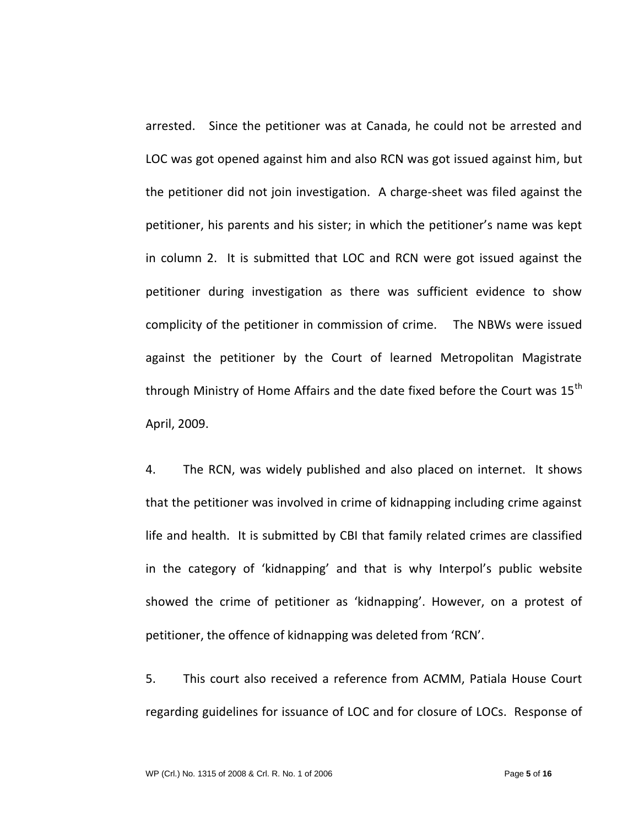arrested. Since the petitioner was at Canada, he could not be arrested and LOC was got opened against him and also RCN was got issued against him, but the petitioner did not join investigation. A charge-sheet was filed against the petitioner, his parents and his sister; in which the petitioner's name was kept in column 2. It is submitted that LOC and RCN were got issued against the petitioner during investigation as there was sufficient evidence to show complicity of the petitioner in commission of crime. The NBWs were issued against the petitioner by the Court of learned Metropolitan Magistrate through Ministry of Home Affairs and the date fixed before the Court was 15<sup>th</sup> April, 2009.

4. The RCN, was widely published and also placed on internet. It shows that the petitioner was involved in crime of kidnapping including crime against life and health. It is submitted by CBI that family related crimes are classified in the category of 'kidnapping' and that is why Interpol's public website showed the crime of petitioner as 'kidnapping'. However, on a protest of petitioner, the offence of kidnapping was deleted from 'RCN'.

5. This court also received a reference from ACMM, Patiala House Court regarding guidelines for issuance of LOC and for closure of LOCs. Response of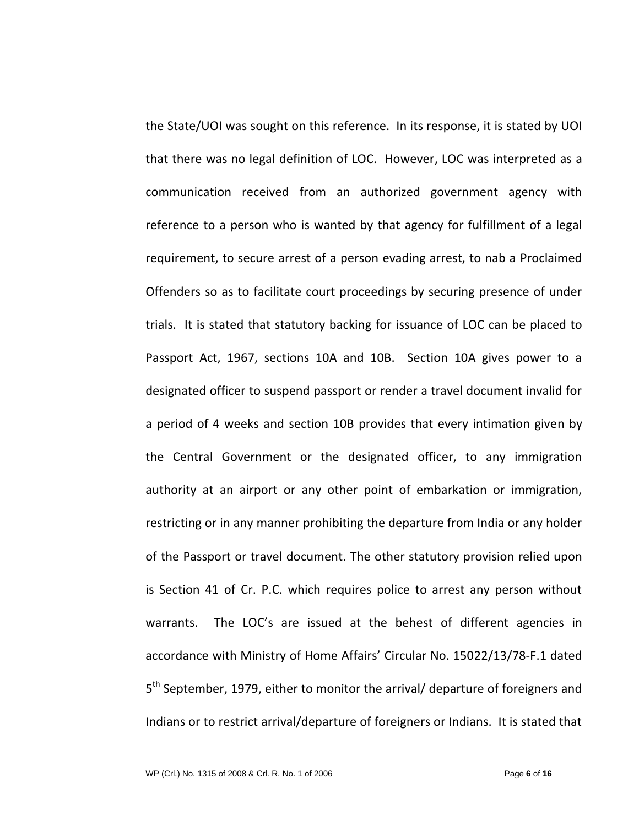the State/UOI was sought on this reference. In its response, it is stated by UOI that there was no legal definition of LOC. However, LOC was interpreted as a communication received from an authorized government agency with reference to a person who is wanted by that agency for fulfillment of a legal requirement, to secure arrest of a person evading arrest, to nab a Proclaimed Offenders so as to facilitate court proceedings by securing presence of under trials. It is stated that statutory backing for issuance of LOC can be placed to Passport Act, 1967, sections 10A and 10B. Section 10A gives power to a designated officer to suspend passport or render a travel document invalid for a period of 4 weeks and section 10B provides that every intimation given by the Central Government or the designated officer, to any immigration authority at an airport or any other point of embarkation or immigration, restricting or in any manner prohibiting the departure from India or any holder of the Passport or travel document. The other statutory provision relied upon is Section 41 of Cr. P.C. which requires police to arrest any person without warrants. The LOC's are issued at the behest of different agencies in accordance with Ministry of Home Affairs' Circular No. 15022/13/78-F.1 dated 5<sup>th</sup> September, 1979, either to monitor the arrival/ departure of foreigners and Indians or to restrict arrival/departure of foreigners or Indians. It is stated that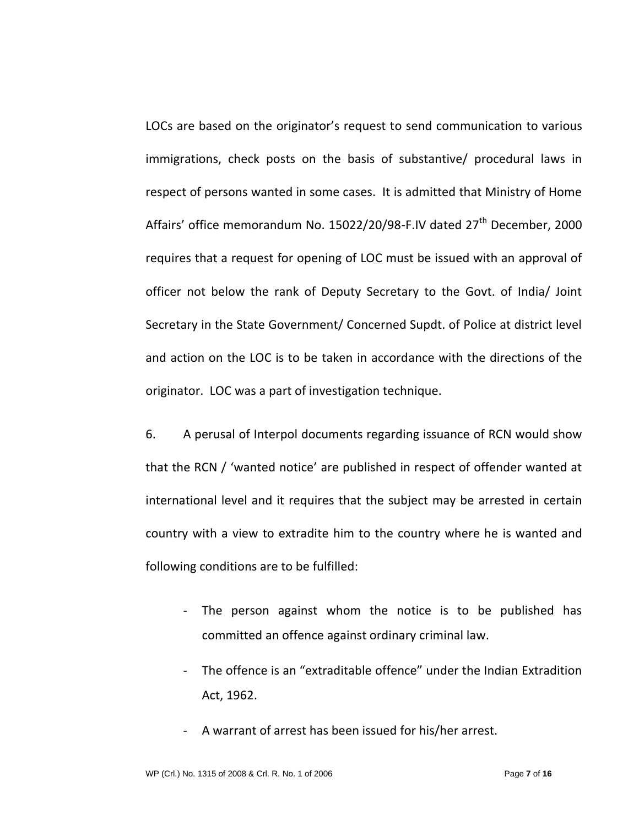LOCs are based on the originator's request to send communication to various immigrations, check posts on the basis of substantive/ procedural laws in respect of persons wanted in some cases. It is admitted that Ministry of Home Affairs' office memorandum No. 15022/20/98-F.IV dated 27<sup>th</sup> December, 2000 requires that a request for opening of LOC must be issued with an approval of officer not below the rank of Deputy Secretary to the Govt. of India/ Joint Secretary in the State Government/ Concerned Supdt. of Police at district level and action on the LOC is to be taken in accordance with the directions of the originator. LOC was a part of investigation technique.

6. A perusal of Interpol documents regarding issuance of RCN would show that the RCN / 'wanted notice' are published in respect of offender wanted at international level and it requires that the subject may be arrested in certain country with a view to extradite him to the country where he is wanted and following conditions are to be fulfilled:

- The person against whom the notice is to be published has committed an offence against ordinary criminal law.
- The offence is an "extraditable offence" under the Indian Extradition Act, 1962.
- A warrant of arrest has been issued for his/her arrest.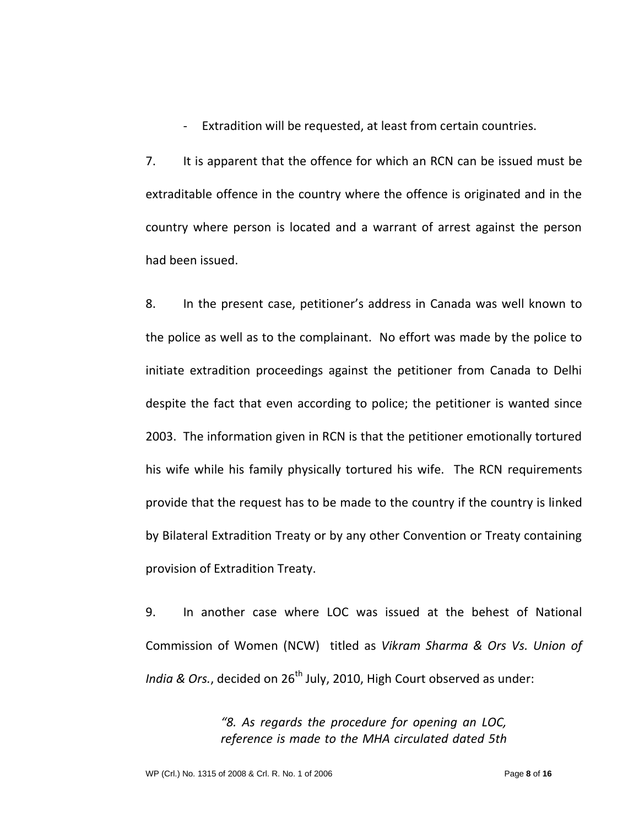- Extradition will be requested, at least from certain countries.

7. It is apparent that the offence for which an RCN can be issued must be extraditable offence in the country where the offence is originated and in the country where person is located and a warrant of arrest against the person had been issued.

8. In the present case, petitioner's address in Canada was well known to the police as well as to the complainant. No effort was made by the police to initiate extradition proceedings against the petitioner from Canada to Delhi despite the fact that even according to police; the petitioner is wanted since 2003. The information given in RCN is that the petitioner emotionally tortured his wife while his family physically tortured his wife. The RCN requirements provide that the request has to be made to the country if the country is linked by Bilateral Extradition Treaty or by any other Convention or Treaty containing provision of Extradition Treaty.

9. In another case where LOC was issued at the behest of National Commission of Women (NCW) titled as *Vikram Sharma & Ors Vs. Union of India & Ors.*, decided on 26<sup>th</sup> July, 2010, High Court observed as under:

> *"8. As regards the procedure for opening an LOC, reference is made to the MHA circulated dated 5th*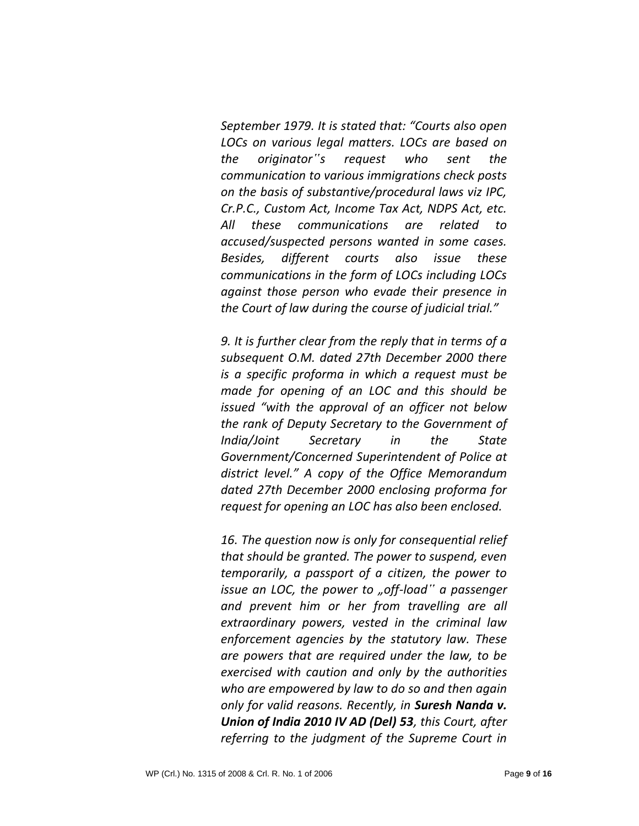*September 1979. It is stated that: "Courts also open LOCs on various legal matters. LOCs are based on the originator"s request who sent the communication to various immigrations check posts on the basis of substantive/procedural laws viz IPC, Cr.P.C., Custom Act, Income Tax Act, NDPS Act, etc. All these communications are related to accused/suspected persons wanted in some cases. Besides, different courts also issue these communications in the form of LOCs including LOCs against those person who evade their presence in the Court of law during the course of judicial trial."* 

*9. It is further clear from the reply that in terms of a subsequent O.M. dated 27th December 2000 there is a specific proforma in which a request must be made for opening of an LOC and this should be issued "with the approval of an officer not below the rank of Deputy Secretary to the Government of India/Joint Secretary in the State Government/Concerned Superintendent of Police at district level." A copy of the Office Memorandum dated 27th December 2000 enclosing proforma for request for opening an LOC has also been enclosed.* 

*16. The question now is only for consequential relief that should be granted. The power to suspend, even temporarily, a passport of a citizen, the power to issue an LOC, the power to "off-load" a passenger and prevent him or her from travelling are all extraordinary powers, vested in the criminal law enforcement agencies by the statutory law. These are powers that are required under the law, to be exercised with caution and only by the authorities who are empowered by law to do so and then again only for valid reasons. Recently, in Suresh Nanda v. Union of India 2010 IV AD (Del) 53, this Court, after referring to the judgment of the Supreme Court in*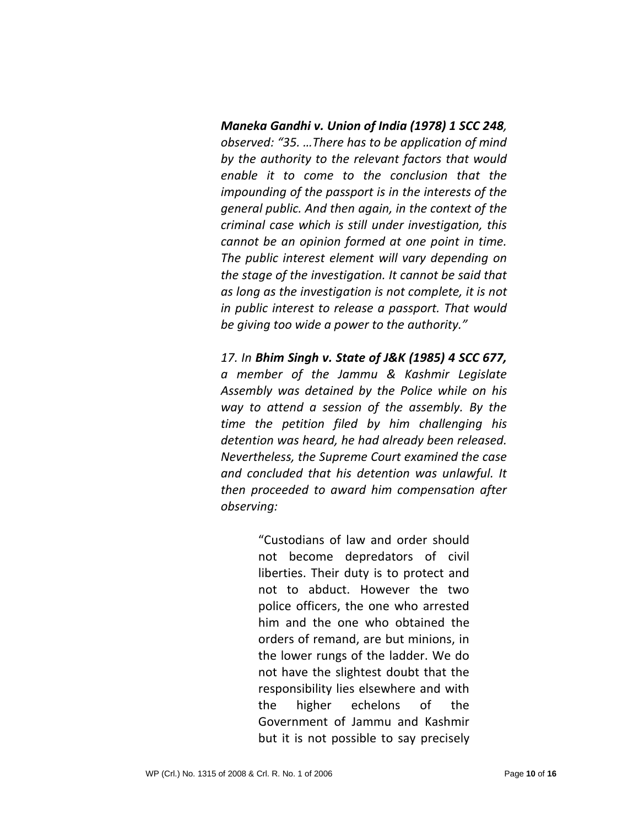*Maneka Gandhi v. Union of India (1978) 1 SCC 248, observed: "35. …There has to be application of mind by the authority to the relevant factors that would enable it to come to the conclusion that the impounding of the passport is in the interests of the general public. And then again, in the context of the criminal case which is still under investigation, this cannot be an opinion formed at one point in time. The public interest element will vary depending on the stage of the investigation. It cannot be said that as long as the investigation is not complete, it is not in public interest to release a passport. That would be giving too wide a power to the authority."* 

*17. In Bhim Singh v. State of J&K (1985) 4 SCC 677, a member of the Jammu & Kashmir Legislate Assembly was detained by the Police while on his way to attend a session of the assembly. By the time the petition filed by him challenging his detention was heard, he had already been released. Nevertheless, the Supreme Court examined the case and concluded that his detention was unlawful. It then proceeded to award him compensation after observing:* 

> "Custodians of law and order should not become depredators of civil liberties. Their duty is to protect and not to abduct. However the two police officers, the one who arrested him and the one who obtained the orders of remand, are but minions, in the lower rungs of the ladder. We do not have the slightest doubt that the responsibility lies elsewhere and with the higher echelons of the Government of Jammu and Kashmir but it is not possible to say precisely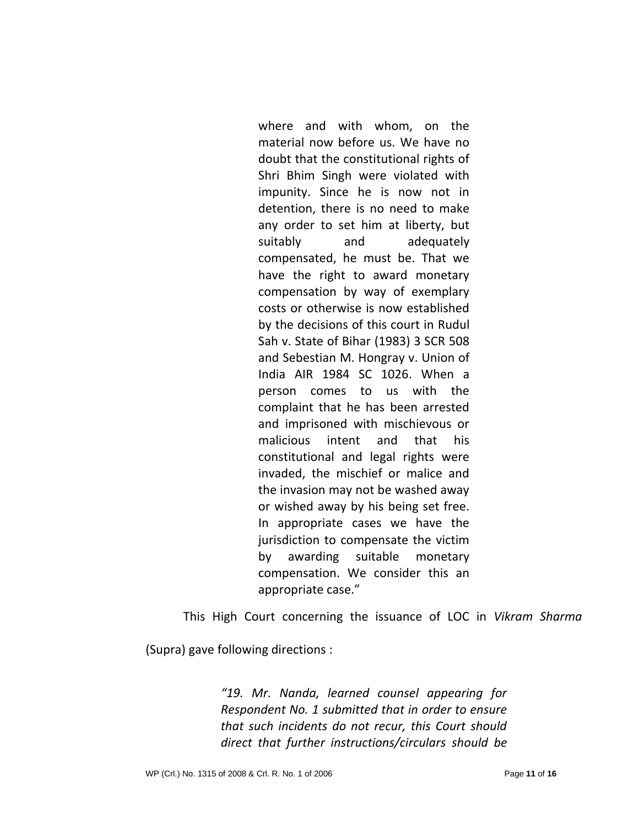where and with whom, on the material now before us. We have no doubt that the constitutional rights of Shri Bhim Singh were violated with impunity. Since he is now not in detention, there is no need to make any order to set him at liberty, but suitably and adequately compensated, he must be. That we have the right to award monetary compensation by way of exemplary costs or otherwise is now established by the decisions of this court in Rudul Sah v. State of Bihar (1983) 3 SCR 508 and Sebestian M. Hongray v. Union of India AIR 1984 SC 1026. When a person comes to us with the complaint that he has been arrested and imprisoned with mischievous or malicious intent and that his constitutional and legal rights were invaded, the mischief or malice and the invasion may not be washed away or wished away by his being set free. In appropriate cases we have the jurisdiction to compensate the victim by awarding suitable monetary compensation. We consider this an appropriate case."

This High Court concerning the issuance of LOC in *Vikram Sharma* 

(Supra) gave following directions :

*"19. Mr. Nanda, learned counsel appearing for Respondent No. 1 submitted that in order to ensure that such incidents do not recur, this Court should direct that further instructions/circulars should be*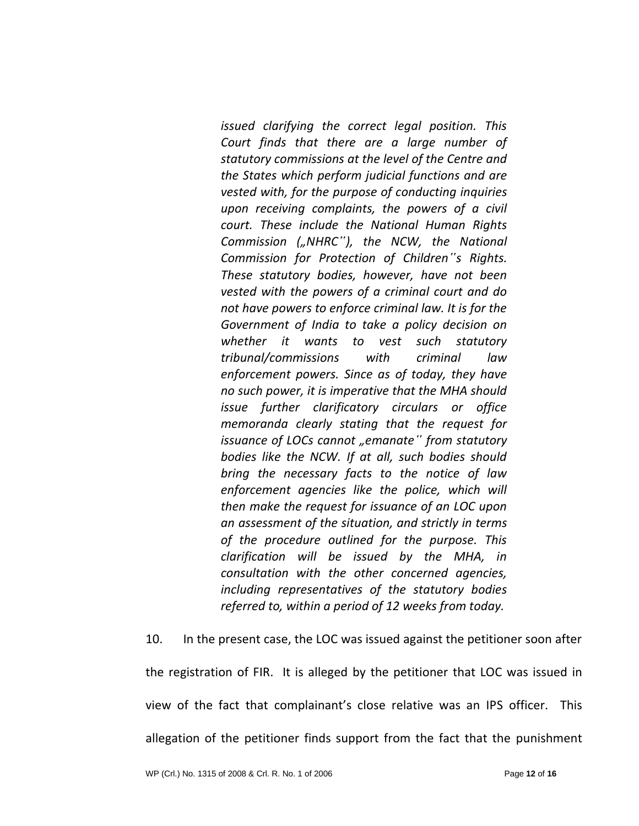*issued clarifying the correct legal position. This Court finds that there are a large number of statutory commissions at the level of the Centre and the States which perform judicial functions and are vested with, for the purpose of conducting inquiries upon receiving complaints, the powers of a civil court. These include the National Human Rights Commission ("NHRC"), the NCW, the National Commission for Protection of Children"s Rights. These statutory bodies, however, have not been vested with the powers of a criminal court and do not have powers to enforce criminal law. It is for the Government of India to take a policy decision on whether it wants to vest such statutory tribunal/commissions with criminal law enforcement powers. Since as of today, they have no such power, it is imperative that the MHA should issue further clarificatory circulars or office memoranda clearly stating that the request for issuance of LOCs cannot "emanate* " *from statutory bodies like the NCW. If at all, such bodies should bring the necessary facts to the notice of law enforcement agencies like the police, which will then make the request for issuance of an LOC upon an assessment of the situation, and strictly in terms of the procedure outlined for the purpose. This clarification will be issued by the MHA, in consultation with the other concerned agencies, including representatives of the statutory bodies referred to, within a period of 12 weeks from today.* 

10. In the present case, the LOC was issued against the petitioner soon after the registration of FIR. It is alleged by the petitioner that LOC was issued in view of the fact that complainant's close relative was an IPS officer. This allegation of the petitioner finds support from the fact that the punishment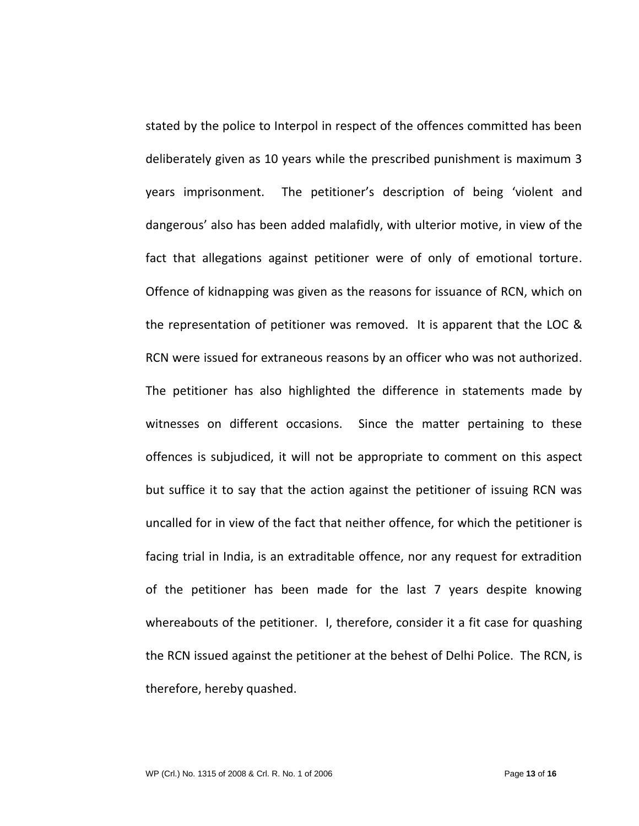stated by the police to Interpol in respect of the offences committed has been deliberately given as 10 years while the prescribed punishment is maximum 3 years imprisonment. The petitioner's description of being 'violent and dangerous' also has been added malafidly, with ulterior motive, in view of the fact that allegations against petitioner were of only of emotional torture. Offence of kidnapping was given as the reasons for issuance of RCN, which on the representation of petitioner was removed. It is apparent that the LOC & RCN were issued for extraneous reasons by an officer who was not authorized. The petitioner has also highlighted the difference in statements made by witnesses on different occasions. Since the matter pertaining to these offences is subjudiced, it will not be appropriate to comment on this aspect but suffice it to say that the action against the petitioner of issuing RCN was uncalled for in view of the fact that neither offence, for which the petitioner is facing trial in India, is an extraditable offence, nor any request for extradition of the petitioner has been made for the last 7 years despite knowing whereabouts of the petitioner. I, therefore, consider it a fit case for quashing the RCN issued against the petitioner at the behest of Delhi Police. The RCN, is therefore, hereby quashed.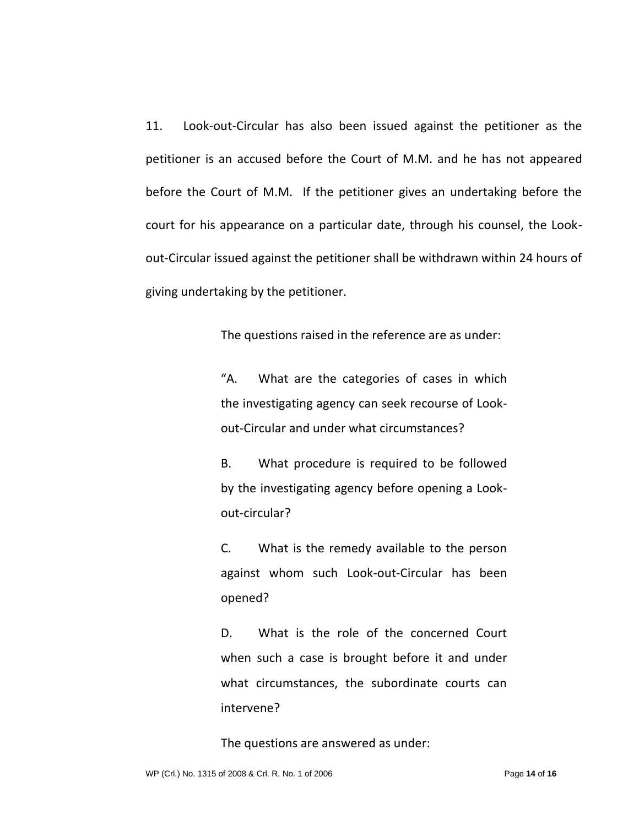11. Look-out-Circular has also been issued against the petitioner as the petitioner is an accused before the Court of M.M. and he has not appeared before the Court of M.M. If the petitioner gives an undertaking before the court for his appearance on a particular date, through his counsel, the Lookout-Circular issued against the petitioner shall be withdrawn within 24 hours of giving undertaking by the petitioner.

The questions raised in the reference are as under:

"A. What are the categories of cases in which the investigating agency can seek recourse of Lookout-Circular and under what circumstances?

B. What procedure is required to be followed by the investigating agency before opening a Lookout-circular?

C. What is the remedy available to the person against whom such Look-out-Circular has been opened?

D. What is the role of the concerned Court when such a case is brought before it and under what circumstances, the subordinate courts can intervene?

The questions are answered as under: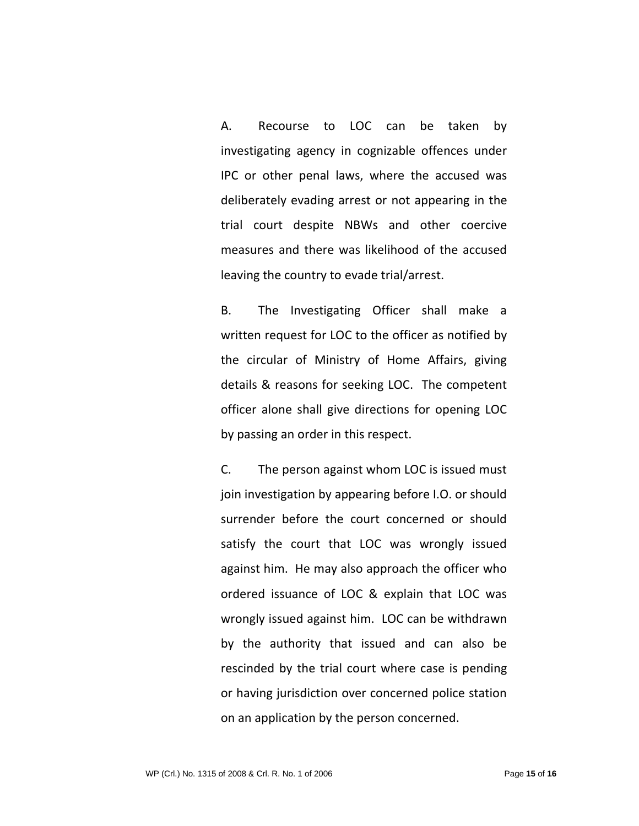A. Recourse to LOC can be taken by investigating agency in cognizable offences under IPC or other penal laws, where the accused was deliberately evading arrest or not appearing in the trial court despite NBWs and other coercive measures and there was likelihood of the accused leaving the country to evade trial/arrest.

B. The Investigating Officer shall make a written request for LOC to the officer as notified by the circular of Ministry of Home Affairs, giving details & reasons for seeking LOC. The competent officer alone shall give directions for opening LOC by passing an order in this respect.

C. The person against whom LOC is issued must join investigation by appearing before I.O. or should surrender before the court concerned or should satisfy the court that LOC was wrongly issued against him. He may also approach the officer who ordered issuance of LOC & explain that LOC was wrongly issued against him. LOC can be withdrawn by the authority that issued and can also be rescinded by the trial court where case is pending or having jurisdiction over concerned police station on an application by the person concerned.